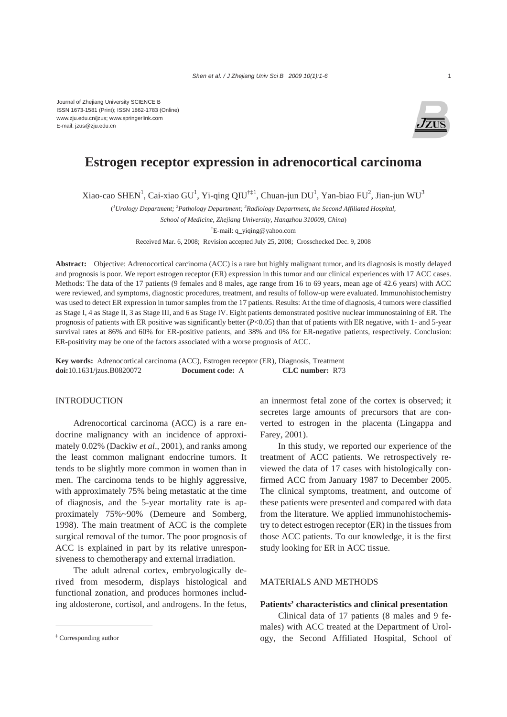

# **Estrogen receptor expression in adrenocortical carcinoma**

Xiao-cao SHEN<sup>1</sup>, Cai-xiao GU<sup>1</sup>, Yi-qing QIU<sup>†‡1</sup>, Chuan-jun DU<sup>1</sup>, Yan-biao FU<sup>2</sup>, Jian-jun WU<sup>3</sup>

( *1 Urology Department; 2 Pathology Department; 3 Radiology Department, the Second Affiliated Hospital,* 

*School of Medicine, Zhejiang University, Hangzhou 310009, China*)

† E-mail: q\_yiqing@yahoo.com

Received Mar. 6, 2008; Revision accepted July 25, 2008; Crosschecked Dec. 9, 2008

**Abstract:** Objective: Adrenocortical carcinoma (ACC) is a rare but highly malignant tumor, and its diagnosis is mostly delayed and prognosis is poor. We report estrogen receptor (ER) expression in this tumor and our clinical experiences with 17 ACC cases. Methods: The data of the 17 patients (9 females and 8 males, age range from 16 to 69 years, mean age of 42.6 years) with ACC were reviewed, and symptoms, diagnostic procedures, treatment, and results of follow-up were evaluated. Immunohistochemistry was used to detect ER expression in tumor samples from the 17 patients. Results: At the time of diagnosis, 4 tumors were classified as Stage I, 4 as Stage II, 3 as Stage III, and 6 as Stage IV. Eight patients demonstrated positive nuclear immunostaining of ER. The prognosis of patients with ER positive was significantly better (*P*<0.05) than that of patients with ER negative, with 1- and 5-year survival rates at 86% and 60% for ER-positive patients, and 38% and 0% for ER-negative patients, respectively. Conclusion: ER-positivity may be one of the factors associated with a worse prognosis of ACC.

**Key words:** Adrenocortical carcinoma (ACC), Estrogen receptor (ER), Diagnosis, Treatment **doi:**10.1631/jzus.B0820072 **Document code:** A **CLC number:** R73

## **INTRODUCTION**

Adrenocortical carcinoma (ACC) is a rare endocrine malignancy with an incidence of approximately 0.02% (Dackiw *et al*., 2001), and ranks among the least common malignant endocrine tumors. It tends to be slightly more common in women than in men. The carcinoma tends to be highly aggressive, with approximately 75% being metastatic at the time of diagnosis, and the 5-year mortality rate is approximately 75%~90% (Demeure and Somberg, 1998). The main treatment of ACC is the complete surgical removal of the tumor. The poor prognosis of ACC is explained in part by its relative unresponsiveness to chemotherapy and external irradiation.

The adult adrenal cortex, embryologically derived from mesoderm, displays histological and functional zonation, and produces hormones including aldosterone, cortisol, and androgens. In the fetus, an innermost fetal zone of the cortex is observed; it secretes large amounts of precursors that are converted to estrogen in the placenta (Lingappa and Farey, 2001).

In this study, we reported our experience of the treatment of ACC patients. We retrospectively reviewed the data of 17 cases with histologically confirmed ACC from January 1987 to December 2005. The clinical symptoms, treatment, and outcome of these patients were presented and compared with data from the literature. We applied immunohistochemistry to detect estrogen receptor (ER) in the tissues from those ACC patients. To our knowledge, it is the first study looking for ER in ACC tissue.

## MATERIALS AND METHODS

#### **Patients' characteristics and clinical presentation**

Clinical data of 17 patients (8 males and 9 females) with ACC treated at the Department of Urology, the Second Affiliated Hospital, School of

<sup>‡</sup> Corresponding author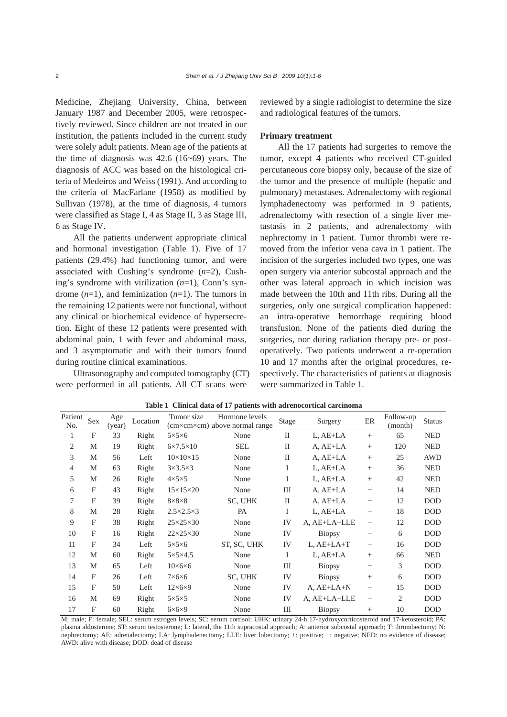Medicine, Zhejiang University, China, between January 1987 and December 2005, were retrospectively reviewed. Since children are not treated in our institution, the patients included in the current study were solely adult patients. Mean age of the patients at the time of diagnosis was  $42.6$  (16~69) years. The diagnosis of ACC was based on the histological criteria of Medeiros and Weiss (1991). And according to the criteria of MacFarlane (1958) as modified by Sullivan (1978), at the time of diagnosis, 4 tumors were classified as Stage I, 4 as Stage II, 3 as Stage III, 6 as Stage IV.

All the patients underwent appropriate clinical and hormonal investigation (Table 1). Five of 17 patients (29.4%) had functioning tumor, and were associated with Cushing's syndrome (*n*=2), Cushing's syndrome with virilization (*n*=1), Conn's syndrome (*n*=1), and feminization (*n*=1). The tumors in the remaining 12 patients were not functional, without any clinical or biochemical evidence of hypersecretion. Eight of these 12 patients were presented with abdominal pain, 1 with fever and abdominal mass, and 3 asymptomatic and with their tumors found during routine clinical examinations.

Ultrasonography and computed tomography (CT) were performed in all patients. All CT scans were

reviewed by a single radiologist to determine the size and radiological features of the tumors.

#### **Primary treatment**

All the 17 patients had surgeries to remove the tumor, except 4 patients who received CT-guided percutaneous core biopsy only, because of the size of the tumor and the presence of multiple (hepatic and pulmonary) metastases. Adrenalectomy with regional lymphadenectomy was performed in 9 patients, adrenalectomy with resection of a single liver metastasis in 2 patients, and adrenalectomy with nephrectomy in 1 patient. Tumor thrombi were removed from the inferior vena cava in 1 patient. The incision of the surgeries included two types, one was open surgery via anterior subcostal approach and the other was lateral approach in which incision was made between the 10th and 11th ribs. During all the surgeries, only one surgical complication happened: an intra-operative hemorrhage requiring blood transfusion. None of the patients died during the surgeries, nor during radiation therapy pre- or postoperatively. Two patients underwent a re-operation 10 and 17 months after the original procedures, respectively. The characteristics of patients at diagnosis were summarized in Table 1.

| Patient        | Sex          | Age    | Location | Tumor size                | Hormone levels                |              | <b>Stage</b><br>Surgery |                   | Follow-up | <b>Status</b> |
|----------------|--------------|--------|----------|---------------------------|-------------------------------|--------------|-------------------------|-------------------|-----------|---------------|
| No.            |              | (year) |          |                           | (cm×cm×cm) above normal range |              |                         |                   | (month)   |               |
| 1              | F            | 33     | Right    | $5\times5\times6$         | None                          | $\mathbf{I}$ | L, AE+LA                | $^{+}$            | 65        | <b>NED</b>    |
| $\overline{2}$ | М            | 19     | Right    | $6\times7.5\times10$      | <b>SEL</b>                    | $\mathbf{I}$ | $A, AE+LA$              | $^{+}$            | 120       | <b>NED</b>    |
| 3              | М            | 56     | Left     | $10\times10\times15$      | None                          | $\mathbf{I}$ | $A, AE+LA$              | $^{+}$            | 25        | AWD           |
| 4              | М            | 63     | Right    | $3\times3.5\times3$       | None                          | Ι            | L, AE+LA                | $^{+}$            | 36        | <b>NED</b>    |
| 5              | М            | 26     | Right    | $4\times5\times5$         | None                          | Ι            | L, AE+LA                | $^{+}$            | 42        | <b>NED</b>    |
| 6              | F            | 43     | Right    | $15\times15\times20$      | None                          | III          | A, AE+LA                |                   | 14        | <b>NED</b>    |
| 7              | F            | 39     | Right    | $8\times8\times8$         | SC, UHK                       | $\mathbf{I}$ | $A, AE+LA$              |                   | 12        | <b>DOD</b>    |
| 8              | М            | 28     | Right    | $2.5 \times 2.5 \times 3$ | PA                            | Ι            | L, AE+LA                |                   | 18        | <b>DOD</b>    |
| 9              | F            | 38     | Right    | $25\times25\times30$      | None                          | IV           | A, AE+LA+LLE            | -                 | 12        | <b>DOD</b>    |
| 10             | F            | 16     | Right    | $22\times25\times30$      | None                          | IV           | Biopsy                  |                   | 6         | <b>DOD</b>    |
| 11             | $\mathbf{F}$ | 34     | Left     | $5\times5\times6$         | ST, SC, UHK                   | IV           | $L, AE+LA+T$            | -                 | 16        | <b>DOD</b>    |
| 12             | M            | 60     | Right    | $5\times5\times4.5$       | None                          | I            | L, AE+LA                | $^{+}$            | 66        | <b>NED</b>    |
| 13             | M            | 65     | Left     | $10\times 6\times 6$      | None                          | III          | Biopsy                  | -                 | 3         | <b>DOD</b>    |
| 14             | F            | 26     | Left     | $7\times 6\times 6$       | SC, UHK                       | IV           | <b>Biopsy</b>           | $^{+}$            | 6         | <b>DOD</b>    |
| 15             | F            | 50     | Left     | $12\times 6\times 9$      | None                          | IV           | $A, AE+LA+N$            | -                 | 15        | <b>DOD</b>    |
| 16             | М            | 69     | Right    | $5\times5\times5$         | None                          | IV           | A, AE+LA+LLE            | $\qquad \qquad -$ | 2         | <b>DOD</b>    |
| 17             | F            | 60     | Right    | $6\times 6\times 9$       | None                          | $\rm III$    | <b>Biopsy</b>           | $^{+}$            | 10        | <b>DOD</b>    |

**Table 1 Clinical data of 17 patients with adrenocortical carcinoma**

M: male; F: female; SEL: serum estrogen levels; SC: serum cortisol; UHK: urinary 24-h 17-hydroxycorticosteroid and 17-ketosteroid; PA: plasma aldosterone; ST: serum testosterone; L: lateral, the 11th supracostal approach; A: anterior subcostal approach; T: thrombectomy; N: nephrectomy; AE: adrenalectomy; LA: lymphadenectomy; LLE: liver lobectomy; +: positive; −: negative; NED: no evidence of disease; AWD: alive with disease; DOD: dead of disease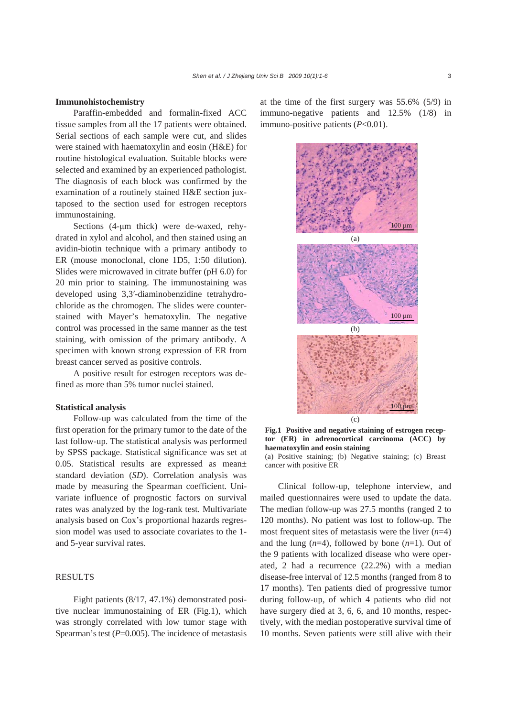#### **Immunohistochemistry**

Paraffin-embedded and formalin-fixed ACC tissue samples from all the 17 patients were obtained. Serial sections of each sample were cut, and slides were stained with haematoxylin and eosin (H&E) for routine histological evaluation. Suitable blocks were selected and examined by an experienced pathologist. The diagnosis of each block was confirmed by the examination of a routinely stained H&E section juxtaposed to the section used for estrogen receptors immunostaining.

Sections (4-μm thick) were de-waxed, rehydrated in xylol and alcohol, and then stained using an avidin-biotin technique with a primary antibody to ER (mouse monoclonal, clone 1D5, 1:50 dilution). Slides were microwaved in citrate buffer (pH 6.0) for 20 min prior to staining. The immunostaining was developed using 3,3′-diaminobenzidine tetrahydrochloride as the chromogen. The slides were counterstained with Mayer's hematoxylin. The negative control was processed in the same manner as the test staining, with omission of the primary antibody. A specimen with known strong expression of ER from breast cancer served as positive controls.

A positive result for estrogen receptors was defined as more than 5% tumor nuclei stained.

### **Statistical analysis**

Follow-up was calculated from the time of the first operation for the primary tumor to the date of the last follow-up. The statistical analysis was performed by SPSS package. Statistical significance was set at 0.05. Statistical results are expressed as mean± standard deviation (*SD*). Correlation analysis was made by measuring the Spearman coefficient. Univariate influence of prognostic factors on survival rates was analyzed by the log-rank test. Multivariate analysis based on Cox's proportional hazards regression model was used to associate covariates to the 1 and 5-year survival rates.

## RESULTS

Eight patients (8/17, 47.1%) demonstrated positive nuclear immunostaining of ER (Fig.1), which was strongly correlated with low tumor stage with Spearman's test ( $P=0.005$ ). The incidence of metastasis at the time of the first surgery was 55.6% (5/9) in immuno-negative patients and 12.5% (1/8) in immuno-positive patients (*P*<0.01).



**Fig.1 Positive and negative staining of estrogen receptor (ER) in adrenocortical carcinoma (ACC) by haematoxylin and eosin staining** 

(a) Positive staining; (b) Negative staining; (c) Breast cancer with positive ER

Clinical follow-up, telephone interview, and mailed questionnaires were used to update the data. The median follow-up was 27.5 months (ranged 2 to 120 months). No patient was lost to follow-up. The most frequent sites of metastasis were the liver (*n*=4) and the lung (*n*=4), followed by bone (*n*=1). Out of the 9 patients with localized disease who were operated, 2 had a recurrence (22.2%) with a median disease-free interval of 12.5 months (ranged from 8 to 17 months). Ten patients died of progressive tumor during follow-up, of which 4 patients who did not have surgery died at 3, 6, 6, and 10 months, respectively, with the median postoperative survival time of 10 months. Seven patients were still alive with their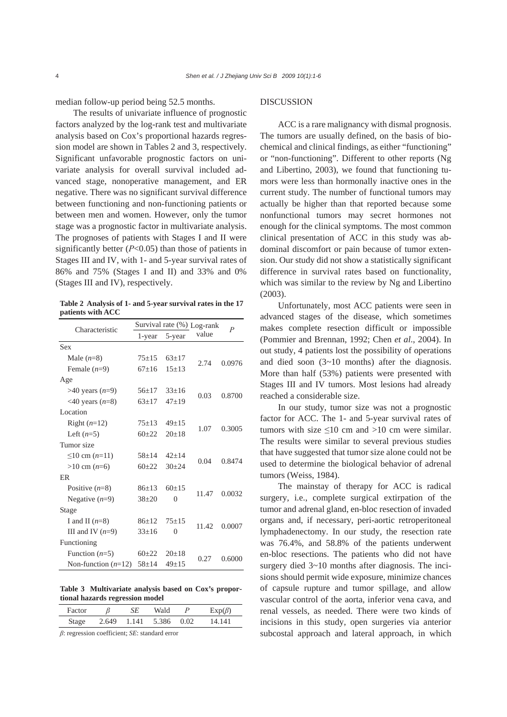median follow-up period being 52.5 months.

The results of univariate influence of prognostic factors analyzed by the log-rank test and multivariate analysis based on Cox's proportional hazards regression model are shown in Tables 2 and 3, respectively. Significant unfavorable prognostic factors on univariate analysis for overall survival included advanced stage, nonoperative management, and ER negative. There was no significant survival difference between functioning and non-functioning patients or between men and women. However, only the tumor stage was a prognostic factor in multivariate analysis. The prognoses of patients with Stages I and II were significantly better (*Ρ*<0.05) than those of patients in Stages III and IV, with 1- and 5-year survival rates of 86% and 75% (Stages I and II) and 33% and 0% (Stages III and IV), respectively.

**Table 2 Analysis of 1- and 5-year survival rates in the 17 patients with ACC** 

| Characteristic                   |             |           | Survival rate (%) Log-rank | $\boldsymbol{P}$ |  |
|----------------------------------|-------------|-----------|----------------------------|------------------|--|
|                                  | 1-year      | 5-year    | value                      |                  |  |
| Sex                              |             |           |                            |                  |  |
| Male $(n=8)$                     | $75 + 15$   | $63+17$   | 2.74                       | 0.0976           |  |
| Female $(n=9)$                   | $67+16$     | $15+13$   |                            |                  |  |
| Age                              |             |           |                            |                  |  |
| $>40$ years $(n=9)$              | $56+17$     | $33+16$   | 0.03                       | 0.8700           |  |
| $\langle 40 \text{ years} (n=8)$ | $63+17$     | $47 + 19$ |                            |                  |  |
| Location                         |             |           |                            |                  |  |
| Right $(n=12)$                   | $75+13$     | $49 + 15$ | 1.07                       | 0.3005           |  |
| Left $(n=5)$                     | $60+22$     | $20+18$   |                            |                  |  |
| Tumor size                       |             |           |                            |                  |  |
| ≤10 cm $(n=11)$                  | $58 + 14$   | $42+14$   | 0.04                       | 0.8474           |  |
| $>10$ cm ( <i>n</i> =6)          | $60+22$     | $30 + 24$ |                            |                  |  |
| <b>FR</b>                        |             |           |                            |                  |  |
| Positive $(n=8)$                 | $86+13$     | $60+15$   | 11.47                      | 0.0032           |  |
| Negative $(n=9)$                 | $38 + 20$   | $\theta$  |                            |                  |  |
| Stage                            |             |           |                            |                  |  |
| I and II $(n=8)$                 | $86+12$     | $75 + 15$ | 11.42                      | 0.0007           |  |
| III and IV $(n=9)$               | $33 \pm 16$ | $\Omega$  |                            |                  |  |
| Functioning                      |             |           |                            |                  |  |
| Function $(n=5)$                 | $60+22$     | $20+18$   | 0.27                       | 0.6000           |  |
| Non-function $(n=12)$            | $58 + 14$   | $49+15$   |                            |                  |  |

**Table 3 Multivariate analysis based on Cox's proportional hazards regression model** 

| Factor |       | SE    | Wald  | P    | $Exp(\beta)$ |
|--------|-------|-------|-------|------|--------------|
| Stage  | 2.649 | 1.141 | 5.386 | 0.02 | 14 141       |

*β*: regression coefficient; *SE*: standard error

## DISCUSSION

ACC is a rare malignancy with dismal prognosis. The tumors are usually defined, on the basis of biochemical and clinical findings, as either "functioning" or "non-functioning". Different to other reports (Ng and Libertino, 2003), we found that functioning tumors were less than hormonally inactive ones in the current study. The number of functional tumors may actually be higher than that reported because some nonfunctional tumors may secret hormones not enough for the clinical symptoms. The most common clinical presentation of ACC in this study was abdominal discomfort or pain because of tumor extension. Our study did not show a statistically significant difference in survival rates based on functionality, which was similar to the review by Ng and Libertino (2003).

Unfortunately, most ACC patients were seen in advanced stages of the disease, which sometimes makes complete resection difficult or impossible (Pommier and Brennan, 1992; Chen *et al*., 2004). In out study, 4 patients lost the possibility of operations and died soon  $(3-10 \text{ months})$  after the diagnosis. More than half (53%) patients were presented with Stages III and IV tumors. Most lesions had already reached a considerable size.

In our study, tumor size was not a prognostic factor for ACC. The 1- and 5-year survival rates of tumors with size  $\leq 10$  cm and  $> 10$  cm were similar. The results were similar to several previous studies that have suggested that tumor size alone could not be used to determine the biological behavior of adrenal tumors (Weiss, 1984).

The mainstay of therapy for ACC is radical surgery, i.e., complete surgical extirpation of the tumor and adrenal gland, en-bloc resection of invaded organs and, if necessary, peri-aortic retroperitoneal lymphadenectomy. In our study, the resection rate was 76.4%, and 58.8% of the patients underwent en-bloc resections. The patients who did not have surgery died 3~10 months after diagnosis. The incisions should permit wide exposure, minimize chances of capsule rupture and tumor spillage, and allow vascular control of the aorta, inferior vena cava, and renal vessels, as needed. There were two kinds of incisions in this study, open surgeries via anterior subcostal approach and lateral approach, in which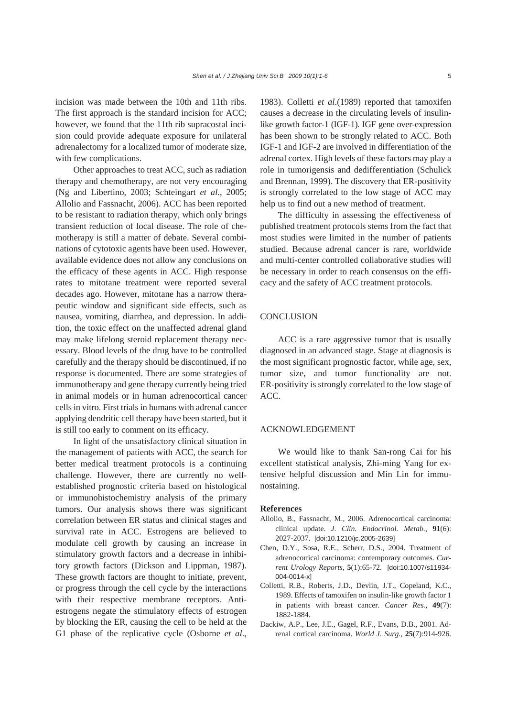incision was made between the 10th and 11th ribs. The first approach is the standard incision for ACC; however, we found that the 11th rib supracostal incision could provide adequate exposure for unilateral adrenalectomy for a localized tumor of moderate size, with few complications.

Other approaches to treat ACC, such as radiation therapy and chemotherapy, are not very encouraging (Ng and Libertino, 2003; Schteingart *et al.*, 2005; Allolio and Fassnacht, 2006). ACC has been reported to be resistant to radiation therapy, which only brings transient reduction of local disease. The role of chemotherapy is still a matter of debate. Several combinations of cytotoxic agents have been used. However, available evidence does not allow any conclusions on the efficacy of these agents in ACC. High response rates to mitotane treatment were reported several decades ago. However, mitotane has a narrow therapeutic window and significant side effects, such as nausea, vomiting, diarrhea, and depression. In addition, the toxic effect on the unaffected adrenal gland may make lifelong steroid replacement therapy necessary. Blood levels of the drug have to be controlled carefully and the therapy should be discontinued, if no response is documented. There are some strategies of immunotherapy and gene therapy currently being tried in animal models or in human adrenocortical cancer cells in vitro. First trials in humans with adrenal cancer applying dendritic cell therapy have been started, but it is still too early to comment on its efficacy.

In light of the unsatisfactory clinical situation in the management of patients with ACC, the search for better medical treatment protocols is a continuing challenge. However, there are currently no wellestablished prognostic criteria based on histological or immunohistochemistry analysis of the primary tumors. Our analysis shows there was significant correlation between ER status and clinical stages and survival rate in ACC. Estrogens are believed to modulate cell growth by causing an increase in stimulatory growth factors and a decrease in inhibitory growth factors (Dickson and Lippman, 1987). These growth factors are thought to initiate, prevent, or progress through the cell cycle by the interactions with their respective membrane receptors. Antiestrogens negate the stimulatory effects of estrogen by blocking the ER, causing the cell to be held at the G1 phase of the replicative cycle (Osborne *et al*., 1983). Colletti *et al*.(1989) reported that tamoxifen causes a decrease in the circulating levels of insulinlike growth factor-1 (IGF-1). IGF gene over-expression has been shown to be strongly related to ACC. Both IGF-1 and IGF-2 are involved in differentiation of the adrenal cortex. High levels of these factors may play a role in tumorigensis and dedifferentiation (Schulick and Brennan, 1999). The discovery that ER-positivity is strongly correlated to the low stage of ACC may help us to find out a new method of treatment.

The difficulty in assessing the effectiveness of published treatment protocols stems from the fact that most studies were limited in the number of patients studied. Because adrenal cancer is rare, worldwide and multi-center controlled collaborative studies will be necessary in order to reach consensus on the efficacy and the safety of ACC treatment protocols.

#### **CONCLUSION**

ACC is a rare aggressive tumor that is usually diagnosed in an advanced stage. Stage at diagnosis is the most significant prognostic factor, while age, sex, tumor size, and tumor functionality are not. ER-positivity is strongly correlated to the low stage of ACC.

#### ACKNOWLEDGEMENT

We would like to thank San-rong Cai for his excellent statistical analysis, Zhi-ming Yang for extensive helpful discussion and Min Lin for immunostaining.

#### **References**

- Allolio, B., Fassnacht, M., 2006. Adrenocortical carcinoma: clinical update. *J. Clin. Endocrinol. Metab.*, **91**(6): 2027-2037. [doi:10.1210/jc.2005-2639]
- Chen, D.Y., Sosa, R.E., Scherr, D.S., 2004. Treatment of adrenocortical carcinoma: contemporary outcomes. *Current Urology Reports*, **5**(1):65-72. [doi:10.1007/s11934- 004-0014-x]
- Colletti, R.B., Roberts, J.D., Devlin, J.T., Copeland, K.C., 1989. Effects of tamoxifen on insulin-like growth factor 1 in patients with breast cancer. *Cancer Res.*, **49**(7): 1882-1884.
- Dackiw, A.P., Lee, J.E., Gagel, R.F., Evans, D.B., 2001. Adrenal cortical carcinoma. *World J. Surg.*, **25**(7):914-926.